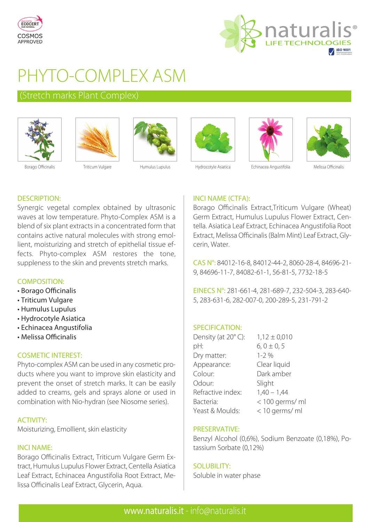



# PHYTO-COMPLEX ASM

# (Stretch marks Plant Complex)













Borago Officinalis **Triticum Vulgare** Humulus Lupulus Hydrocotyle Asiatica Echinacea Angustifolia Melissa Officinalis

# DESCRIPTION:

Synergic vegetal complex obtained by ultrasonic waves at low temperature. Phyto-Complex ASM is a blend of six plant extracts in a concentrated form that contains active natural molecules with strong emollient, moisturizing and stretch of epithelial tissue effects. Phyto-complex ASM restores the tone, suppleness to the skin and prevents stretch marks.

# COMPOSITION:

- Borago Officinalis
- Triticum Vulgare
- Humulus Lupulus
- Hydrocotyle Asiatica
- Echinacea Angustifolia
- Melissa Officinalis

# COSMETIC INTEREST:

Phyto-complex ASM can be used in any cosmetic products where you want to improve skin elasticity and prevent the onset of stretch marks. It can be easily added to creams, gels and sprays alone or used in combination with Nio-hydran (see Niosome series).

# ACTIVITY:

Moisturizing, Emollient, skin elasticity

### INCI NAME:

Borago Officinalis Extract, Triticum Vulgare Germ Extract, Humulus Lupulus Flower Extract, Centella Asiatica Leaf Extract, Echinacea Angustifolia Root Extract, Melissa Officinalis Leaf Extract, Glycerin, Aqua.

# INCI NAME (CTFA):

Borago Officinalis Extract,Triticum Vulgare (Wheat) Germ Extract, Humulus Lupulus Flower Extract, Centella. Asiatica Leaf Extract, Echinacea Angustifolia Root Extract, Melissa Officinalis (Balm Mint) Leaf Extract, Glycerin, Water.

CAS N°: 84012-16-8, 84012-44-2, 8060-28-4, 84696-21- 9, 84696-11-7, 84082-61-1, 56-81-5, 7732-18-5

EINECS N°: 281-661-4, 281-689-7, 232-504-3, 283-640- 5, 283-631-6, 282-007-0, 200-289-5, 231-791-2

#### SPECIFICATION:

| Density (at 20°C): | $1,12 \pm 0,010$  |
|--------------------|-------------------|
| pH:                | $6, 0 \pm 0, 5$   |
| Dry matter:        | $1 - 2\%$         |
| Appearance:        | Clear liquid      |
| Colour:            | Dark amber        |
| Odour:             | Slight            |
| Refractive index:  | $1,40 - 1,44$     |
| Bacteria:          | $<$ 100 germs/ ml |
| Yeast & Moulds:    | < 10 germs/ ml    |

#### PRESERVATIVE:

Benzyl Alcohol (0,6%), Sodium Benzoate (0,18%), Potassium Sorbate (0,12%)

#### SOLUBILITY:

Soluble in water phase